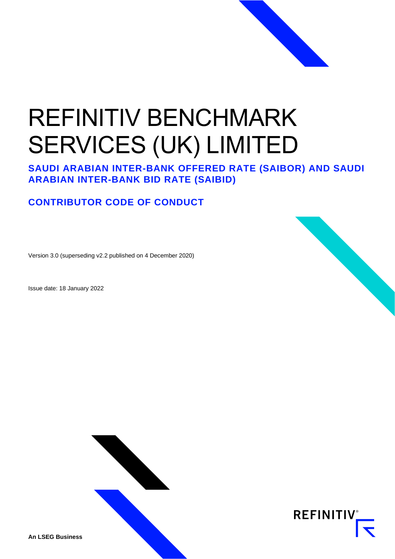# REFINITIV BENCHMARK SERVICES (UK) LIMITED

**SAUDI ARABIAN INTER-BANK OFFERED RATE (SAIBOR) AND SAUDI ARABIAN INTER-BANK BID RATE (SAIBID)**

# **CONTRIBUTOR CODE OF CONDUCT**

Version 3.0 (superseding v2.2 published on 4 December 2020)

Issue date: 18 January 2022





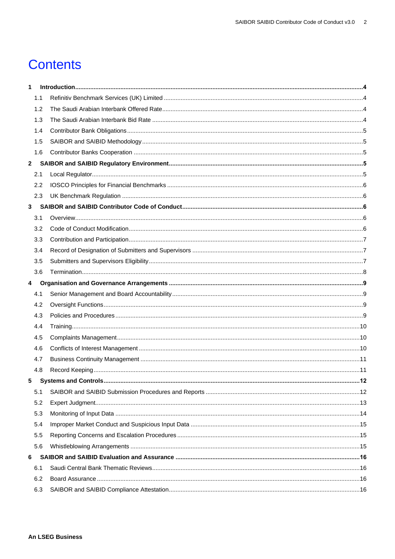# **Contents**

| 1.1<br>1.2<br>1.3<br>1.4<br>1.5<br>1.6<br>$\mathbf{2}$<br>2.1<br>2.2<br>2.3<br>3<br>3.1<br>3.2<br>3.3<br>3.4<br>3.5<br>3.6<br>4<br>4.1<br>4.2<br>4.3<br>4.4<br>4.5<br>4.6<br>4.7<br>4.8<br>5 |  |
|----------------------------------------------------------------------------------------------------------------------------------------------------------------------------------------------|--|
|                                                                                                                                                                                              |  |
|                                                                                                                                                                                              |  |
|                                                                                                                                                                                              |  |
|                                                                                                                                                                                              |  |
|                                                                                                                                                                                              |  |
|                                                                                                                                                                                              |  |
|                                                                                                                                                                                              |  |
|                                                                                                                                                                                              |  |
|                                                                                                                                                                                              |  |
|                                                                                                                                                                                              |  |
|                                                                                                                                                                                              |  |
|                                                                                                                                                                                              |  |
|                                                                                                                                                                                              |  |
|                                                                                                                                                                                              |  |
|                                                                                                                                                                                              |  |
|                                                                                                                                                                                              |  |
|                                                                                                                                                                                              |  |
|                                                                                                                                                                                              |  |
|                                                                                                                                                                                              |  |
|                                                                                                                                                                                              |  |
|                                                                                                                                                                                              |  |
|                                                                                                                                                                                              |  |
|                                                                                                                                                                                              |  |
|                                                                                                                                                                                              |  |
|                                                                                                                                                                                              |  |
|                                                                                                                                                                                              |  |
|                                                                                                                                                                                              |  |
| 5.1                                                                                                                                                                                          |  |
| 5.2                                                                                                                                                                                          |  |
| 5.3                                                                                                                                                                                          |  |
| 5.4                                                                                                                                                                                          |  |
| 5.5                                                                                                                                                                                          |  |
| 5.6                                                                                                                                                                                          |  |
| 6                                                                                                                                                                                            |  |
| 6.1                                                                                                                                                                                          |  |
| 6.2                                                                                                                                                                                          |  |
| 6.3                                                                                                                                                                                          |  |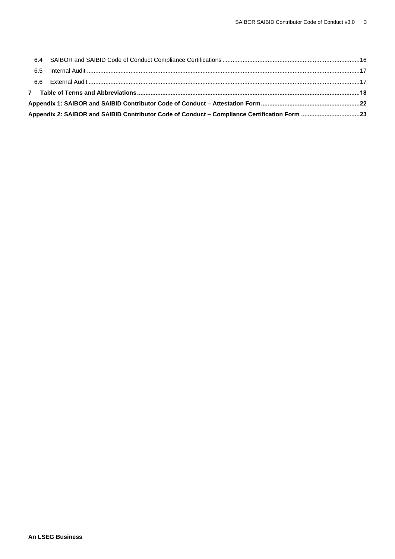|  | Appendix 2: SAIBOR and SAIBID Contributor Code of Conduct - Compliance Certification Form 23 |  |
|--|----------------------------------------------------------------------------------------------|--|
|  |                                                                                              |  |
|  |                                                                                              |  |
|  |                                                                                              |  |
|  |                                                                                              |  |
|  |                                                                                              |  |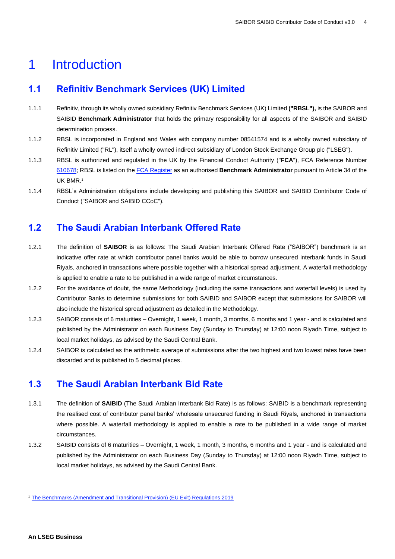# <span id="page-3-0"></span>1 Introduction

# <span id="page-3-1"></span>**1.1 Refinitiv Benchmark Services (UK) Limited**

- 1.1.1 Refinitiv, through its wholly owned subsidiary Refinitiv Benchmark Services (UK) Limited **("RBSL"),** is the SAIBOR and SAIBID **Benchmark Administrator** that holds the primary responsibility for all aspects of the SAIBOR and SAIBID determination process.
- 1.1.2 RBSL is incorporated in England and Wales with company number 08541574 and is a wholly owned subsidiary of Refinitiv Limited ("RL"), itself a wholly owned indirect subsidiary of London Stock Exchange Group plc ("LSEG").
- 1.1.3 RBSL is authorized and regulated in the UK by the Financial Conduct Authority ("**FCA**"), FCA Reference Number [610678;](https://register.fca.org.uk/ShPo_FirmDetailsPage?id=001b000000NMhY4AAL) RBSL is listed on th[e FCA Register](https://register.fca.org.uk/BenchmarksRegister/s/?pageTab=Administrators) as an authorised **Benchmark Administrator** pursuant to Article 34 of the UK BMR.<sup>1</sup>
- 1.1.4 RBSL's Administration obligations include developing and publishing this SAIBOR and SAIBID Contributor Code of Conduct ("SAIBOR and SAIBID CCoC").

# <span id="page-3-2"></span>**1.2 The Saudi Arabian Interbank Offered Rate**

- 1.2.1 The definition of **SAIBOR** is as follows: The Saudi Arabian Interbank Offered Rate ("SAIBOR") benchmark is an indicative offer rate at which contributor panel banks would be able to borrow unsecured interbank funds in Saudi Riyals, anchored in transactions where possible together with a historical spread adjustment. A waterfall methodology is applied to enable a rate to be published in a wide range of market circumstances.
- 1.2.2 For the avoidance of doubt, the same Methodology (including the same transactions and waterfall levels) is used by Contributor Banks to determine submissions for both SAIBID and SAIBOR except that submissions for SAIBOR will also include the historical spread adjustment as detailed in the Methodology.
- 1.2.3 SAIBOR consists of 6 maturities Overnight, 1 week, 1 month, 3 months, 6 months and 1 year and is calculated and published by the Administrator on each Business Day (Sunday to Thursday) at 12:00 noon Riyadh Time, subject to local market holidays, as advised by the Saudi Central Bank.
- 1.2.4 SAIBOR is calculated as the arithmetic average of submissions after the two highest and two lowest rates have been discarded and is published to 5 decimal places.

# <span id="page-3-3"></span>**1.3 The Saudi Arabian Interbank Bid Rate**

- 1.3.1 The definition of **SAIBID** (The Saudi Arabian Interbank Bid Rate) is as follows: SAIBID is a benchmark representing the realised cost of contributor panel banks' wholesale unsecured funding in Saudi Riyals, anchored in transactions where possible. A waterfall methodology is applied to enable a rate to be published in a wide range of market circumstances.
- 1.3.2 SAIBID consists of 6 maturities Overnight, 1 week, 1 month, 3 months, 6 months and 1 year and is calculated and published by the Administrator on each Business Day (Sunday to Thursday) at 12:00 noon Riyadh Time, subject to local market holidays, as advised by the Saudi Central Bank.

<sup>&</sup>lt;sup>1</sup> [The Benchmarks \(Amendment and Transitional Provision\) \(EU Exit\) Regulations 2019](https://www.legislation.gov.uk/uksi/2019/657/made)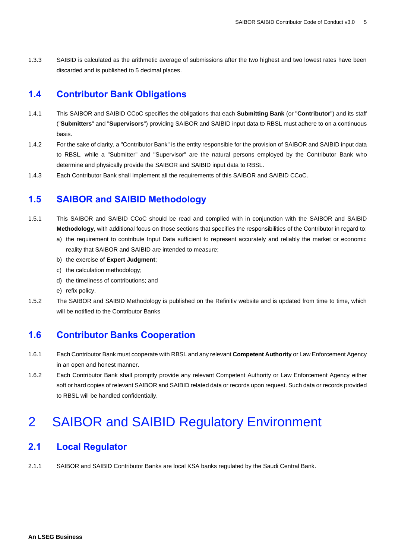1.3.3 SAIBID is calculated as the arithmetic average of submissions after the two highest and two lowest rates have been discarded and is published to 5 decimal places.

## <span id="page-4-0"></span>**1.4 Contributor Bank Obligations**

- 1.4.1 This SAIBOR and SAIBID CCoC specifies the obligations that each **Submitting Bank** (or "**Contributor**") and its staff ("**Submitters**" and "**Supervisors**") providing SAIBOR and SAIBID input data to RBSL must adhere to on a continuous basis.
- 1.4.2 For the sake of clarity, a "Contributor Bank" is the entity responsible for the provision of SAIBOR and SAIBID input data to RBSL, while a "Submitter" and "Supervisor" are the natural persons employed by the Contributor Bank who determine and physically provide the SAIBOR and SAIBID input data to RBSL.
- 1.4.3 Each Contributor Bank shall implement all the requirements of this SAIBOR and SAIBID CCoC.

### <span id="page-4-1"></span>**1.5 SAIBOR and SAIBID Methodology**

- 1.5.1 This SAIBOR and SAIBID CCoC should be read and complied with in conjunction with the SAIBOR and SAIBID **Methodology**, with additional focus on those sections that specifies the responsibilities of the Contributor in regard to:
	- a) the requirement to contribute Input Data sufficient to represent accurately and reliably the market or economic reality that SAIBOR and SAIBID are intended to measure;
	- b) the exercise of **Expert Judgment**;
	- c) the calculation methodology;
	- d) the timeliness of contributions; and
	- e) refix policy.
- 1.5.2 The SAIBOR and SAIBID Methodology is published on the Refinitiv website and is updated from time to time, which will be notified to the Contributor Banks

# <span id="page-4-2"></span>**1.6 Contributor Banks Cooperation**

- 1.6.1 Each Contributor Bank must cooperate with RBSL and any relevant **Competent Authority** or Law Enforcement Agency in an open and honest manner.
- 1.6.2 Each Contributor Bank shall promptly provide any relevant Competent Authority or Law Enforcement Agency either soft or hard copies of relevant SAIBOR and SAIBID related data or records upon request. Such data or records provided to RBSL will be handled confidentially.

# <span id="page-4-3"></span>2 SAIBOR and SAIBID Regulatory Environment

## <span id="page-4-4"></span>**2.1 Local Regulator**

2.1.1 SAIBOR and SAIBID Contributor Banks are local KSA banks regulated by the Saudi Central Bank.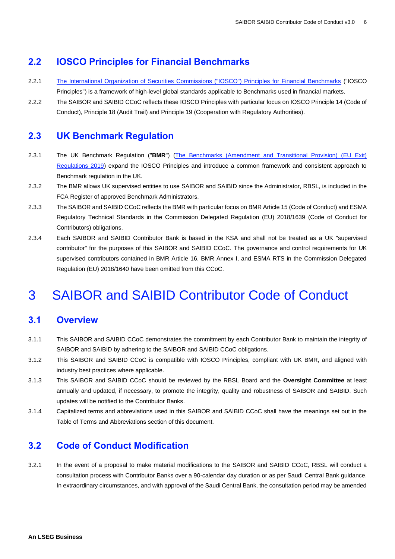# <span id="page-5-0"></span>**2.2 IOSCO Principles for Financial Benchmarks**

- 2.2.1 The [International Organization of Securities Commissions \("IOSCO"\) Principles for Financial Benchmarks](https://www.iosco.org/library/pubdocs/pdf/IOSCOPD415.pdf) ("IOSCO Principles") is a framework of high-level global standards applicable to Benchmarks used in financial markets.
- 2.2.2 The SAIBOR and SAIBID CCoC reflects these IOSCO Principles with particular focus on IOSCO Principle 14 (Code of Conduct), Principle 18 (Audit Trail) and Principle 19 (Cooperation with Regulatory Authorities).

### <span id="page-5-1"></span>**2.3 UK Benchmark Regulation**

- 2.3.1 The UK Benchmark Regulation ("**BMR**") [\(The Benchmarks \(Amendment and Transitional Provision\) \(EU Exit\)](https://www.legislation.gov.uk/uksi/2019/657/made)  [Regulations 2019\)](https://www.legislation.gov.uk/uksi/2019/657/made) expand the IOSCO Principles and introduce a common framework and consistent approach to Benchmark regulation in the UK.
- 2.3.2 The BMR allows UK supervised entities to use SAIBOR and SAIBID since the Administrator, RBSL, is included in the [FCA Register](https://register.fca.org.uk/BenchmarksRegister/s/?pageTab=Administrators) of approved Benchmark Administrators.
- 2.3.3 The SAIBOR and SAIBID CCoC reflects the BMR with particular focus on BMR Article 15 (Code of Conduct) and ESMA Regulatory Technical Standards in the [Commission Delegated Regulation \(EU\) 2018/1639](https://eur-lex.europa.eu/legal-content/EN/TXT/PDF/?uri=CELEX:32018R1639&from=EN) (Code of Conduct for Contributors) obligations.
- 2.3.4 Each SAIBOR and SAIBID Contributor Bank is based in the KSA and shall not be treated as a UK "supervised contributor" for the purposes of this SAIBOR and SAIBID CCoC. The governance and control requirements for UK supervised contributors contained in BMR Article 16, BMR Annex I, and ESMA RTS in the Commission Delegated Regulation (EU) 2018/1640 have been omitted from this CCoC.

# <span id="page-5-2"></span>3 SAIBOR and SAIBID Contributor Code of Conduct

### <span id="page-5-3"></span>**3.1 Overview**

- 3.1.1 This SAIBOR and SAIBID CCoC demonstrates the commitment by each Contributor Bank to maintain the integrity of SAIBOR and SAIBID by adhering to the SAIBOR and SAIBID CCoC obligations.
- 3.1.2 This SAIBOR and SAIBID CCoC is compatible with IOSCO Principles, compliant with UK BMR, and aligned with industry best practices where applicable.
- 3.1.3 This SAIBOR and SAIBID CCoC should be reviewed by the RBSL Board and the **Oversight Committee** at least annually and updated, if necessary, to promote the integrity, quality and robustness of SAIBOR and SAIBID. Such updates will be notified to the Contributor Banks.
- 3.1.4 Capitalized terms and abbreviations used in this SAIBOR and SAIBID CCoC shall have the meanings set out in the Table of Terms and Abbreviations section of this document.

# <span id="page-5-4"></span>**3.2 Code of Conduct Modification**

3.2.1 In the event of a proposal to make material modifications to the SAIBOR and SAIBID CCoC, RBSL will conduct a consultation process with Contributor Banks over a 90-calendar day duration or as per Saudi Central Bank guidance. In extraordinary circumstances, and with approval of the Saudi Central Bank, the consultation period may be amended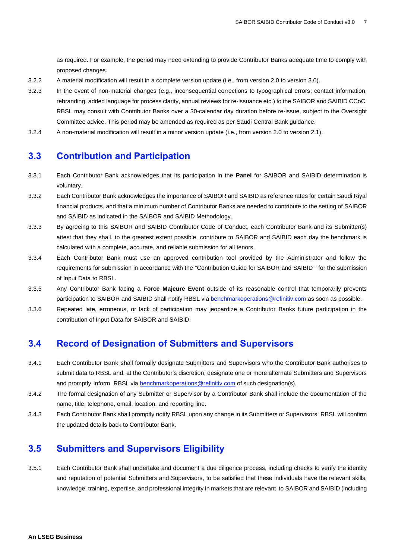as required. For example, the period may need extending to provide Contributor Banks adequate time to comply with proposed changes.

- 3.2.2 A material modification will result in a complete version update (i.e., from version 2.0 to version 3.0).
- 3.2.3 In the event of non-material changes (e.g., inconsequential corrections to typographical errors; contact information; rebranding, added language for process clarity, annual reviews for re-issuance etc.) to the SAIBOR and SAIBID CCoC, RBSL may consult with Contributor Banks over a 30-calendar day duration before re-issue, subject to the Oversight Committee advice. This period may be amended as required as per Saudi Central Bank guidance.
- 3.2.4 A non-material modification will result in a minor version update (i.e., from version 2.0 to version 2.1).

### <span id="page-6-0"></span>**3.3 Contribution and Participation**

- 3.3.1 Each Contributor Bank acknowledges that its participation in the **Panel** for SAIBOR and SAIBID determination is voluntary.
- 3.3.2 Each Contributor Bank acknowledges the importance of SAIBOR and SAIBID as reference rates for certain Saudi Riyal financial products, and that a minimum number of Contributor Banks are needed to contribute to the setting of SAIBOR and SAIBID as indicated in the SAIBOR and SAIBID Methodology.
- 3.3.3 By agreeing to this SAIBOR and SAIBID Contributor Code of Conduct, each Contributor Bank and its Submitter(s) attest that they shall, to the greatest extent possible, contribute to SAIBOR and SAIBID each day the benchmark is calculated with a complete, accurate, and reliable submission for all tenors.
- 3.3.4 Each Contributor Bank must use an approved contribution tool provided by the Administrator and follow the requirements for submission in accordance with the "Contribution Guide for SAIBOR and SAIBID " for the submission of Input Data to RBSL.
- 3.3.5 Any Contributor Bank facing a **Force Majeure Event** outside of its reasonable control that temporarily prevents participation to SAIBOR and SAIBID shall notify RBSL via **benchmarkoperations@refinitiv.com** as soon as possible.
- 3.3.6 Repeated late, erroneous, or lack of participation may jeopardize a Contributor Banks future participation in the contribution of Input Data for SAIBOR and SAIBID.

# <span id="page-6-1"></span>**3.4 Record of Designation of Submitters and Supervisors**

- 3.4.1 Each Contributor Bank shall formally designate Submitters and Supervisors who the Contributor Bank authorises to submit data to RBSL and, at the Contributor's discretion, designate one or more alternate Submitters and Supervisors and promptly inform RBSL vi[a benchmarkoperations@refinitiv.com](mailto:benchmarkoperations@refinitiv.com) of such designation(s).
- 3.4.2 The formal designation of any Submitter or Supervisor by a Contributor Bank shall include the documentation of the name, title, telephone, email, location, and reporting line.
- 3.4.3 Each Contributor Bank shall promptly notify RBSL upon any change in its Submitters or Supervisors. RBSL will confirm the updated details back to Contributor Bank.

# <span id="page-6-2"></span>**3.5 Submitters and Supervisors Eligibility**

3.5.1 Each Contributor Bank shall undertake and document a due diligence process, including checks to verify the identity and reputation of potential Submitters and Supervisors, to be satisfied that these individuals have the relevant skills, knowledge, training, expertise, and professional integrity in markets that are relevant to SAIBOR and SAIBID (including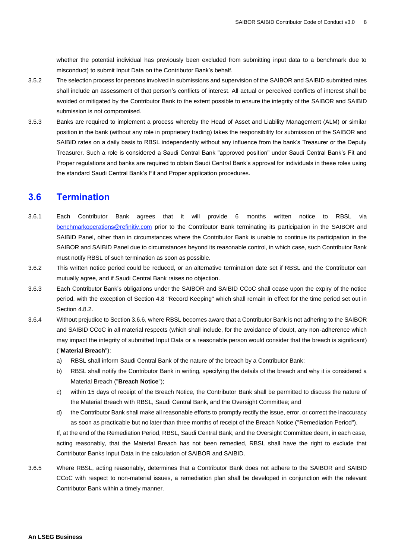whether the potential individual has previously been excluded from submitting input data to a benchmark due to misconduct) to submit Input Data on the Contributor Bank's behalf.

- 3.5.2 The selection process for persons involved in submissions and supervision of the SAIBOR and SAIBID submitted rates shall include an assessment of that person's conflicts of interest. All actual or perceived conflicts of interest shall be avoided or mitigated by the Contributor Bank to the extent possible to ensure the integrity of the SAIBOR and SAIBID submission is not compromised.
- 3.5.3 Banks are required to implement a process whereby the Head of Asset and Liability Management (ALM) or similar position in the bank (without any role in proprietary trading) takes the responsibility for submission of the SAIBOR and SAIBID rates on a daily basis to RBSL independently without any influence from the bank's Treasurer or the Deputy Treasurer. Such a role is considered a Saudi Central Bank "approved position" under Saudi Central Bank's Fit and Proper regulations and banks are required to obtain Saudi Central Bank's approval for individuals in these roles using the standard Saudi Central Bank's Fit and Proper application procedures.

# <span id="page-7-0"></span>**3.6 Termination**

- 3.6.1 Each Contributor Bank agrees that it will provide 6 months written notice to RBSL via [benchmarkoperations@refinitiv.com](mailto:benchmarkoperations@refinitiv.com) prior to the Contributor Bank terminating its participation in the SAIBOR and SAIBID Panel, other than in circumstances where the Contributor Bank is unable to continue its participation in the SAIBOR and SAIBID Panel due to circumstances beyond its reasonable control, in which case, such Contributor Bank must notify RBSL of such termination as soon as possible.
- 3.6.2 This written notice period could be reduced, or an alternative termination date set if RBSL and the Contributor can mutually agree, and if Saudi Central Bank raises no objection.
- 3.6.3 Each Contributor Bank's obligations under the SAIBOR and SAIBID CCoC shall cease upon the expiry of the notice period, with the exception of Section 4.8 "Record Keeping" which shall remain in effect for the time period set out in Section 4.8.2.
- 3.6.4 Without prejudice to Section 3.6.6, where RBSL becomes aware that a Contributor Bank is not adhering to the SAIBOR and SAIBID CCoC in all material respects (which shall include, for the avoidance of doubt, any non-adherence which may impact the integrity of submitted Input Data or a reasonable person would consider that the breach is significant) ("**Material Breach**"):
	- a) RBSL shall inform Saudi Central Bank of the nature of the breach by a Contributor Bank;
	- b) RBSL shall notify the Contributor Bank in writing, specifying the details of the breach and why it is considered a Material Breach ("**Breach Notice**");
	- c) within 15 days of receipt of the Breach Notice, the Contributor Bank shall be permitted to discuss the nature of the Material Breach with RBSL, Saudi Central Bank, and the Oversight Committee; and
	- d) the Contributor Bank shall make all reasonable efforts to promptly rectify the issue, error, or correct the inaccuracy as soon as practicable but no later than three months of receipt of the Breach Notice ("Remediation Period").

If, at the end of the Remediation Period, RBSL, Saudi Central Bank, and the Oversight Committee deem, in each case, acting reasonably, that the Material Breach has not been remedied, RBSL shall have the right to exclude that Contributor Banks Input Data in the calculation of SAIBOR and SAIBID.

3.6.5 Where RBSL, acting reasonably, determines that a Contributor Bank does not adhere to the SAIBOR and SAIBID CCoC with respect to non-material issues, a remediation plan shall be developed in conjunction with the relevant Contributor Bank within a timely manner.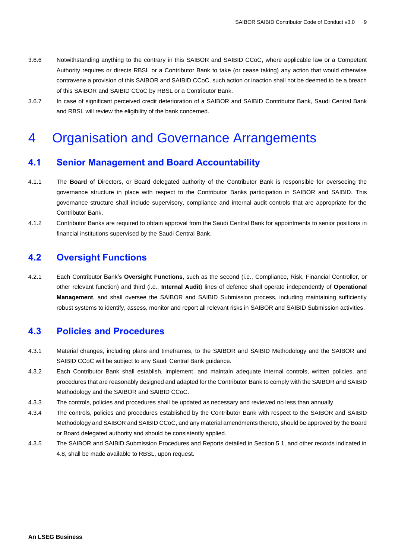- 3.6.6 Notwithstanding anything to the contrary in this SAIBOR and SAIBID CCoC, where applicable law or a Competent Authority requires or directs RBSL or a Contributor Bank to take (or cease taking) any action that would otherwise contravene a provision of this SAIBOR and SAIBID CCoC, such action or inaction shall not be deemed to be a breach of this SAIBOR and SAIBID CCoC by RBSL or a Contributor Bank.
- 3.6.7 In case of significant perceived credit deterioration of a SAIBOR and SAIBID Contributor Bank, Saudi Central Bank and RBSL will review the eligibility of the bank concerned.

# <span id="page-8-0"></span>4 Organisation and Governance Arrangements

### <span id="page-8-1"></span>**4.1 Senior Management and Board Accountability**

- 4.1.1 The **Board** of Directors, or Board delegated authority of the Contributor Bank is responsible for overseeing the governance structure in place with respect to the Contributor Banks participation in SAIBOR and SAIBID. This governance structure shall include supervisory, compliance and internal audit controls that are appropriate for the Contributor Bank.
- 4.1.2 Contributor Banks are required to obtain approval from the Saudi Central Bank for appointments to senior positions in financial institutions supervised by the Saudi Central Bank.

# <span id="page-8-2"></span>**4.2 Oversight Functions**

4.2.1 Each Contributor Bank's **Oversight Functions**, such as the second (i.e., Compliance, Risk, Financial Controller, or other relevant function) and third (i.e., **Internal Audit**) lines of defence shall operate independently of **Operational Management**, and shall oversee the SAIBOR and SAIBID Submission process, including maintaining sufficiently robust systems to identify, assess, monitor and report all relevant risks in SAIBOR and SAIBID Submission activities.

# <span id="page-8-3"></span>**4.3 Policies and Procedures**

- 4.3.1 Material changes, including plans and timeframes, to the SAIBOR and SAIBID Methodology and the SAIBOR and SAIBID CCoC will be subject to any Saudi Central Bank guidance.
- 4.3.2 Each Contributor Bank shall establish, implement, and maintain adequate internal controls, written policies, and procedures that are reasonably designed and adapted for the Contributor Bank to comply with the SAIBOR and SAIBID Methodology and the SAIBOR and SAIBID CCoC.
- 4.3.3 The controls, policies and procedures shall be updated as necessary and reviewed no less than annually.
- 4.3.4 The controls, policies and procedures established by the Contributor Bank with respect to the SAIBOR and SAIBID Methodology and SAIBOR and SAIBID CCoC, and any material amendments thereto, should be approved by the Board or Board delegated authority and should be consistently applied.
- 4.3.5 The SAIBOR and SAIBID Submission Procedures and Reports detailed in Section 5.1, and other records indicated in 4.8, shall be made available to RBSL, upon request.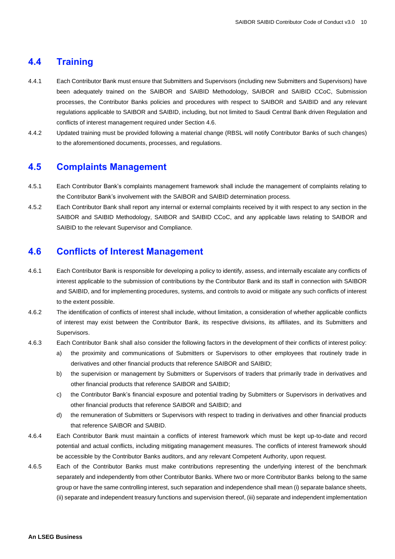### <span id="page-9-0"></span>**4.4 Training**

- 4.4.1 Each Contributor Bank must ensure that Submitters and Supervisors (including new Submitters and Supervisors) have been adequately trained on the SAIBOR and SAIBID Methodology, SAIBOR and SAIBID CCoC, Submission processes, the Contributor Banks policies and procedures with respect to SAIBOR and SAIBID and any relevant regulations applicable to SAIBOR and SAIBID, including, but not limited to Saudi Central Bank driven Regulation and conflicts of interest management required under Section 4.6.
- 4.4.2 Updated training must be provided following a material change (RBSL will notify Contributor Banks of such changes) to the aforementioned documents, processes, and regulations.

#### <span id="page-9-1"></span>**4.5 Complaints Management**

- 4.5.1 Each Contributor Bank's complaints management framework shall include the management of complaints relating to the Contributor Bank's involvement with the SAIBOR and SAIBID determination process.
- 4.5.2 Each Contributor Bank shall report any internal or external complaints received by it with respect to any section in the SAIBOR and SAIBID Methodology, SAIBOR and SAIBID CCoC, and any applicable laws relating to SAIBOR and SAIBID to the relevant Supervisor and Compliance.

#### <span id="page-9-2"></span>**4.6 Conflicts of Interest Management**

- 4.6.1 Each Contributor Bank is responsible for developing a policy to identify, assess, and internally escalate any conflicts of interest applicable to the submission of contributions by the Contributor Bank and its staff in connection with SAIBOR and SAIBID, and for implementing procedures, systems, and controls to avoid or mitigate any such conflicts of interest to the extent possible.
- 4.6.2 The identification of conflicts of interest shall include, without limitation, a consideration of whether applicable conflicts of interest may exist between the Contributor Bank, its respective divisions, its affiliates, and its Submitters and Supervisors.
- 4.6.3 Each Contributor Bank shall also consider the following factors in the development of their conflicts of interest policy:
	- a) the proximity and communications of Submitters or Supervisors to other employees that routinely trade in derivatives and other financial products that reference SAIBOR and SAIBID;
	- b) the supervision or management by Submitters or Supervisors of traders that primarily trade in derivatives and other financial products that reference SAIBOR and SAIBID;
	- c) the Contributor Bank's financial exposure and potential trading by Submitters or Supervisors in derivatives and other financial products that reference SAIBOR and SAIBID; and
	- d) the remuneration of Submitters or Supervisors with respect to trading in derivatives and other financial products that reference SAIBOR and SAIBID.
- 4.6.4 Each Contributor Bank must maintain a conflicts of interest framework which must be kept up-to-date and record potential and actual conflicts, including mitigating management measures. The conflicts of interest framework should be accessible by the Contributor Banks auditors, and any relevant Competent Authority, upon request.
- 4.6.5 Each of the Contributor Banks must make contributions representing the underlying interest of the benchmark separately and independently from other Contributor Banks. Where two or more Contributor Banks belong to the same group or have the same controlling interest, such separation and independence shall mean (i) separate balance sheets, (ii) separate and independent treasury functions and supervision thereof, (iii) separate and independent implementation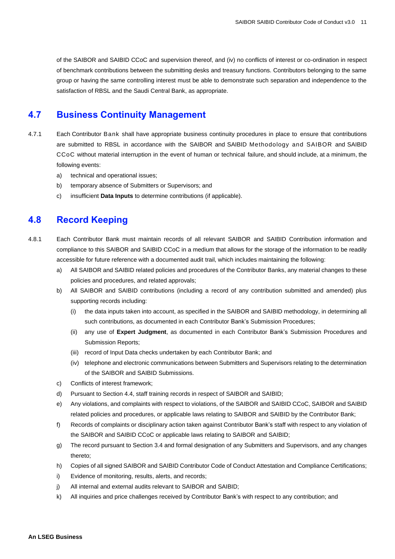of the SAIBOR and SAIBID CCoC and supervision thereof, and (iv) no conflicts of interest or co-ordination in respect of benchmark contributions between the submitting desks and treasury functions. Contributors belonging to the same group or having the same controlling interest must be able to demonstrate such separation and independence to the satisfaction of RBSL and the Saudi Central Bank, as appropriate.

### <span id="page-10-0"></span>**4.7 Business Continuity Management**

- 4.7.1 Each Contributor Bank shall have appropriate business continuity procedures in place to ensure that contributions are submitted to RBSL in accordance with the SAIBOR and SAIBID Methodology and SAIBOR and SAIBID CCoC without material interruption in the event of human or technical failure, and should include, at a minimum, the following events:
	- a) technical and operational issues;
	- b) temporary absence of Submitters or Supervisors; and
	- c) insufficient **Data Inputs** to determine contributions (if applicable).

# <span id="page-10-1"></span>**4.8 Record Keeping**

- 4.8.1 Each Contributor Bank must maintain records of all relevant SAIBOR and SAIBID Contribution information and compliance to this SAIBOR and SAIBID CCoC in a medium that allows for the storage of the information to be readily accessible for future reference with a documented audit trail, which includes maintaining the following:
	- a) All SAIBOR and SAIBID related policies and procedures of the Contributor Banks, any material changes to these policies and procedures, and related approvals;
	- b) All SAIBOR and SAIBID contributions (including a record of any contribution submitted and amended) plus supporting records including:
		- (i) the data inputs taken into account, as specified in the SAIBOR and SAIBID methodology, in determining all such contributions, as documented in each Contributor Bank's Submission Procedures;
		- (ii) any use of **Expert Judgment**, as documented in each Contributor Bank's Submission Procedures and Submission Reports;
		- (iii) record of Input Data checks undertaken by each Contributor Bank; and
		- (iv) telephone and electronic communications between Submitters and Supervisors relating to the determination of the SAIBOR and SAIBID Submissions.
	- c) Conflicts of interest framework;
	- d) Pursuant to Section 4.4, staff training records in respect of SAIBOR and SAIBID;
	- e) Any violations, and complaints with respect to violations, of the SAIBOR and SAIBID CCoC, SAIBOR and SAIBID related policies and procedures, or applicable laws relating to SAIBOR and SAIBID by the Contributor Bank;
	- f) Records of complaints or disciplinary action taken against Contributor Bank's staff with respect to any violation of the SAIBOR and SAIBID CCoC or applicable laws relating to SAIBOR and SAIBID;
	- g) The record pursuant to Section 3.4 and formal designation of any Submitters and Supervisors, and any changes thereto;
	- h) Copies of all signed SAIBOR and SAIBID Contributor Code of Conduct Attestation and Compliance Certifications;
	- i) Evidence of monitoring, results, alerts, and records;
	- j) All internal and external audits relevant to SAIBOR and SAIBID;
	- k) All inquiries and price challenges received by Contributor Bank's with respect to any contribution; and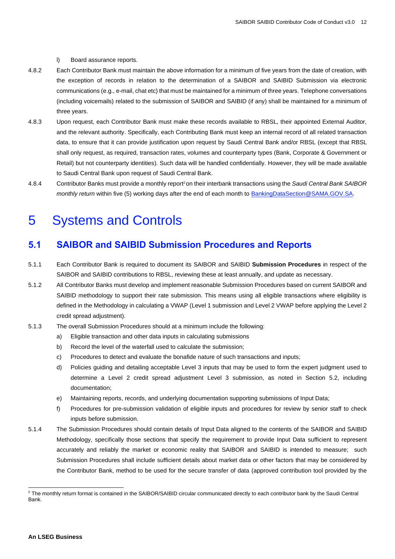#### l) Board assurance reports.

- 4.8.2 Each Contributor Bank must maintain the above information for a minimum of five years from the date of creation, with the exception of records in relation to the determination of a SAIBOR and SAIBID Submission via electronic communications (e.g., e-mail, chat etc) that must be maintained for a minimum of three years. Telephone conversations (including voicemails) related to the submission of SAIBOR and SAIBID (if any) shall be maintained for a minimum of three years.
- 4.8.3 Upon request, each Contributor Bank must make these records available to RBSL, their appointed External Auditor, and the relevant authority. Specifically, each Contributing Bank must keep an internal record of all related transaction data, to ensure that it can provide justification upon request by Saudi Central Bank and/or RBSL (except that RBSL shall only request, as required, transaction rates, volumes and counterparty types (Bank, Corporate & Government or Retail) but not counterparty identities). Such data will be handled confidentially. However, they will be made available to Saudi Central Bank upon request of Saudi Central Bank.
- 4.8.4 Contributor Banks must provide a monthly report<sup>2</sup> on their interbank transactions using the *Saudi Central Bank SAIBOR monthly return* within five (5) working days after the end of each month to BankingDataSection@SAMA.GOV.SA.

# <span id="page-11-0"></span>5 Systems and Controls

### <span id="page-11-1"></span>**5.1 SAIBOR and SAIBID Submission Procedures and Reports**

- 5.1.1 Each Contributor Bank is required to document its SAIBOR and SAIBID **Submission Procedures** in respect of the SAIBOR and SAIBID contributions to RBSL, reviewing these at least annually, and update as necessary.
- 5.1.2 All Contributor Banks must develop and implement reasonable Submission Procedures based on current SAIBOR and SAIBID methodology to support their rate submission. This means using all eligible transactions where eligibility is defined in the Methodology in calculating a VWAP (Level 1 submission and Level 2 VWAP before applying the Level 2 credit spread adjustment).
- 5.1.3 The overall Submission Procedures should at a minimum include the following:
	- a) Eligible transaction and other data inputs in calculating submissions
	- b) Record the level of the waterfall used to calculate the submission;
	- c) Procedures to detect and evaluate the bonafide nature of such transactions and inputs;
	- d) Policies guiding and detailing acceptable Level 3 inputs that may be used to form the expert judgment used to determine a Level 2 credit spread adjustment Level 3 submission, as noted in Section 5.2, including documentation;
	- e) Maintaining reports, records, and underlying documentation supporting submissions of Input Data;
	- f) Procedures for pre-submission validation of eligible inputs and procedures for review by senior staff to check inputs before submission.
- 5.1.4 The Submission Procedures should contain details of Input Data aligned to the contents of the SAIBOR and SAIBID Methodology, specifically those sections that specify the requirement to provide Input Data sufficient to represent accurately and reliably the market or economic reality that SAIBOR and SAIBID is intended to measure; such Submission Procedures shall include sufficient details about market data or other factors that may be considered by the Contributor Bank, method to be used for the secure transfer of data (approved contribution tool provided by the

<sup>&</sup>lt;sup>2</sup> The monthly return format is contained in the SAIBOR/SAIBID circular communicated directly to each contributor bank by the Saudi Central Bank.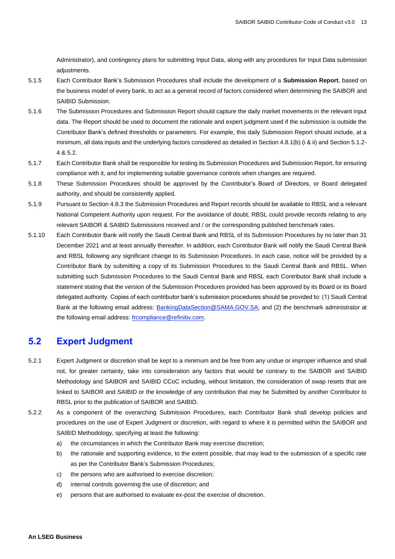Administrator), and contingency plans for submitting Input Data, along with any procedures for Input Data submission adjustments.

- 5.1.5 Each Contributor Bank's Submission Procedures shall include the development of a **Submission Report**, based on the business model of every bank, to act as a general record of factors considered when determining the SAIBOR and SAIBID Submission.
- 5.1.6 The Submission Procedures and Submission Report should capture the daily market movements in the relevant input data. The Report should be used to document the rationale and expert judgment used if the submission is outside the Contributor Bank's defined thresholds or parameters. For example, this daily Submission Report should include, at a minimum, all data inputs and the underlying factors considered as detailed in Section 4.8.1(b) (i & ii) and Section 5.1.2- 4 & 5.2.
- 5.1.7 Each Contributor Bank shall be responsible for testing its Submission Procedures and Submission Report, for ensuring compliance with it, and for implementing suitable governance controls when changes are required.
- 5.1.8 These Submission Procedures should be approved by the Contributor's Board of Directors, or Board delegated authority, and should be consistently applied.
- 5.1.9 Pursuant to Section 4.8.3 the Submission Procedures and Report records should be available to RBSL and a relevant National Competent Authority upon request. For the avoidance of doubt, RBSL could provide records relating to any relevant SAIBOR & SAIBID Submissions received and / or the corresponding published benchmark rates.
- 5.1.10 Each Contributor Bank will notify the Saudi Central Bank and RBSL of its Submission Procedures by no later than 31 December 2021 and at least annually thereafter. In addition, each Contributor Bank will notify the Saudi Central Bank and RBSL following any significant change to its Submission Procedures. In each case, notice will be provided by a Contributor Bank by submitting a copy of its Submission Procedures to the Saudi Central Bank and RBSL. When submitting such Submission Procedures to the Saudi Central Bank and RBSL each Contributor Bank shall include a statement stating that the version of the Submission Procedures provided has been approved by its Board or its Board delegated authority. Copies of each contributor bank's submission procedures should be provided to: (1) Saudi Central Bank at the following email address: BankingDataSection@SAMA.GOV.SA; and (2) the benchmark administrator at the following email address: frcompliance@refinitiv.com.

# <span id="page-12-0"></span>**5.2 Expert Judgment**

- 5.2.1 Expert Judgment or discretion shall be kept to a minimum and be free from any undue or improper influence and shall not, for greater certainty, take into consideration any factors that would be contrary to the SAIBOR and SAIBID Methodology and SAIBOR and SAIBID CCoC including, without limitation, the consideration of swap resets that are linked to SAIBOR and SAIBID or the knowledge of any contribution that may be Submitted by another Contributor to RBSL prior to the publication of SAIBOR and SAIBID.
- 5.2.2 As a component of the overarching Submission Procedures, each Contributor Bank shall develop policies and procedures on the use of Expert Judgment or discretion, with regard to where it is permitted within the SAIBOR and SAIBID Methodology, specifying at least the following:
	- a) the circumstances in which the Contributor Bank may exercise discretion;
	- b) the rationale and supporting evidence, to the extent possible, that may lead to the submission of a specific rate as per the Contributor Bank's Submission Procedures;
	- c) the persons who are authorised to exercise discretion;
	- d) internal controls governing the use of discretion; and
	- e) persons that are authorised to evaluate ex-post the exercise of discretion.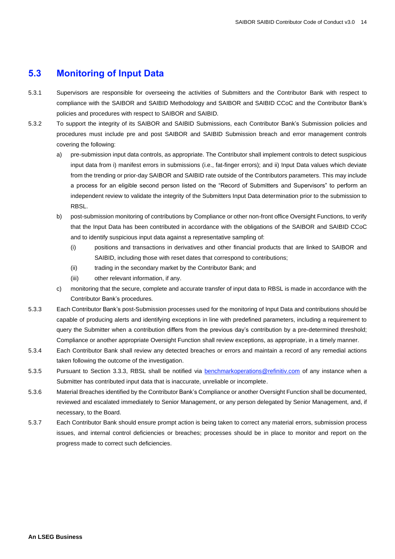# <span id="page-13-0"></span>**5.3 Monitoring of Input Data**

- 5.3.1 Supervisors are responsible for overseeing the activities of Submitters and the Contributor Bank with respect to compliance with the SAIBOR and SAIBID Methodology and SAIBOR and SAIBID CCoC and the Contributor Bank's policies and procedures with respect to SAIBOR and SAIBID.
- 5.3.2 To support the integrity of its SAIBOR and SAIBID Submissions, each Contributor Bank's Submission policies and procedures must include pre and post SAIBOR and SAIBID Submission breach and error management controls covering the following:
	- a) pre-submission input data controls, as appropriate. The Contributor shall implement controls to detect suspicious input data from i) manifest errors in submissions (i.e., fat-finger errors); and ii) Input Data values which deviate from the trending or prior-day SAIBOR and SAIBID rate outside of the Contributors parameters. This may include a process for an eligible second person listed on the "Record of Submitters and Supervisors" to perform an independent review to validate the integrity of the Submitters Input Data determination prior to the submission to RBSL.
	- b) post-submission monitoring of contributions by Compliance or other non-front office Oversight Functions, to verify that the Input Data has been contributed in accordance with the obligations of the SAIBOR and SAIBID CCoC and to identify suspicious input data against a representative sampling of:
		- (i) positions and transactions in derivatives and other financial products that are linked to SAIBOR and SAIBID, including those with reset dates that correspond to contributions;
		- (ii) trading in the secondary market by the Contributor Bank; and
		- (iii) other relevant information, if any.
	- c) monitoring that the secure, complete and accurate transfer of input data to RBSL is made in accordance with the Contributor Bank's procedures.
- 5.3.3 Each Contributor Bank's post-Submission processes used for the monitoring of Input Data and contributions should be capable of producing alerts and identifying exceptions in line with predefined parameters, including a requirement to query the Submitter when a contribution differs from the previous day's contribution by a pre-determined threshold; Compliance or another appropriate Oversight Function shall review exceptions, as appropriate, in a timely manner.
- 5.3.4 Each Contributor Bank shall review any detected breaches or errors and maintain a record of any remedial actions taken following the outcome of the investigation.
- 5.3.5 Pursuant to Section 3.3.3, RBSL shall be notified via **benchmarkoperations@refinitiv.com** of any instance when a Submitter has contributed input data that is inaccurate, unreliable or incomplete.
- 5.3.6 Material Breaches identified by the Contributor Bank's Compliance or another Oversight Function shall be documented, reviewed and escalated immediately to Senior Management, or any person delegated by Senior Management, and, if necessary, to the Board.
- 5.3.7 Each Contributor Bank should ensure prompt action is being taken to correct any material errors, submission process issues, and internal control deficiencies or breaches; processes should be in place to monitor and report on the progress made to correct such deficiencies.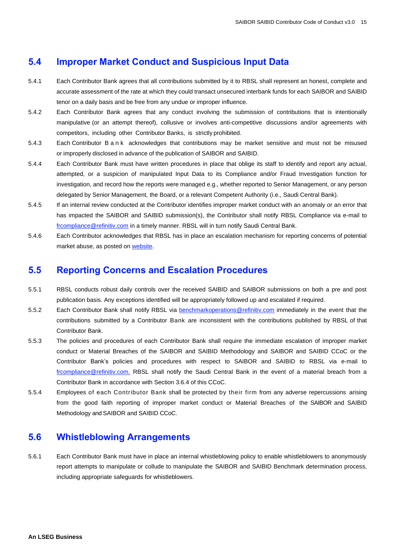#### <span id="page-14-0"></span>**5.4 Improper Market Conduct and Suspicious Input Data**

- 5.4.1 Each Contributor Bank agrees that all contributions submitted by it to RBSL shall represent an honest, complete and accurate assessment of the rate at which they could transact unsecured interbank funds for each SAIBOR and SAIBID tenor on a daily basis and be free from any undue or improper influence.
- 5.4.2 Each Contributor Bank agrees that any conduct involving the submission of contributions that is intentionally manipulative (or an attempt thereof), collusive or involves anti-competitive discussions and/or agreements with competitors, including other Contributor Banks, is strictly prohibited.
- 5.4.3 Each Contributor B a n k acknowledges that contributions may be market sensitive and must not be misused or improperly disclosed in advance of the publication of SAIBOR and SAIBID.
- 5.4.4 Each Contributor Bank must have written procedures in place that oblige its staff to identify and report any actual, attempted, or a suspicion of manipulated Input Data to its Compliance and/or Fraud Investigation function for investigation, and record how the reports were managed e.g., whether reported to Senior Management, or any person delegated by Senior Management, the Board, or a relevant Competent Authority (i.e., Saudi Central Bank).
- 5.4.5 If an internal review conducted at the Contributor identifies improper market conduct with an anomaly or an error that has impacted the SAIBOR and SAIBID submission(s), the Contributor shall notify RBSL Compliance via e-mail to [frcompliance@refinitiv.com](mailto:frcompliance@refinitiv.com) in a timely manner. RBSL will in turn notify Saudi Central Bank.
- 5.4.6 Each Contributor acknowledges that RBSL has in place an escalation mechanism for reporting concerns of potential market abuse, as posted o[n website.](https://financial.thomsonreuters.com/content/dam/openweb/documents/pdf/financial/whistleblowing-statement-reporting-suspicious-activity.pdf)

#### <span id="page-14-1"></span>**5.5 Reporting Concerns and Escalation Procedures**

- 5.5.1 RBSL conducts robust daily controls over the received SAIBID and SAIBOR submissions on both a pre and post publication basis. Any exceptions identified will be appropriately followed up and escalated if required.
- 5.5.2 Each Contributor Bank shall notify RBSL via [benchmarkoperations@refinitiv.com](mailto:benchmarkoperations@refinitiv.com) immediately in the event that the contributions submitted by a Contributor Bank are inconsistent with the contributions published by RBSL of that Contributor Bank.
- 5.5.3 The policies and procedures of each Contributor Bank shall require the immediate escalation of improper market conduct or Material Breaches of the SAIBOR and SAIBID Methodology and SAIBOR and SAIBID CCoC or the Contributor Bank's policies and procedures with respect to SAIBOR and SAIBID to RBSL via e-mail to [frcompliance@refinitiv.com.](mailto:frcompliance@refinitiv.com) RBSL shall notify the Saudi Central Bank in the event of a material breach from a Contributor Bank in accordance with Section 3.6.4 of this CCoC.
- 5.5.4 Employees of each Contributor Bank shall be protected by their firm from any adverse repercussions arising from the good faith reporting of improper market conduct or Material Breaches of the SAIBOR and SAIBID Methodology and SAIBOR and SAIBID CCoC.

#### <span id="page-14-2"></span>**5.6 Whistleblowing Arrangements**

5.6.1 Each Contributor Bank must have in place an internal whistleblowing policy to enable whistleblowers to anonymously report attempts to manipulate or collude to manipulate the SAIBOR and SAIBID Benchmark determination process, including appropriate safeguards for whistleblowers.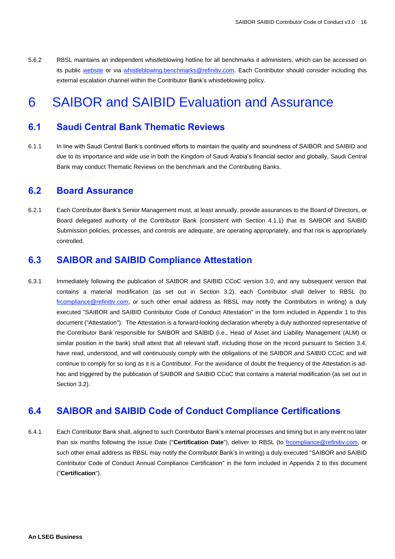5.6.2 RBSL maintains an independent whistleblowing hotline for all benchmarks it administers, which can be accessed on its public [website](https://www.refinitiv.com/content/dam/gl/en/documents/policies/whistleblowing-statement-reporting-suspicious-activity.pdf) or via [whistleblowing.benchmarks@refinitiv.com.](mailto:whistleblowing.benchmarks@refinitiv.com) Each Contributor should consider including this external escalation channel within the Contributor Bank's whistleblowing policy.

# <span id="page-15-0"></span>6 SAIBOR and SAIBID Evaluation and Assurance

### <span id="page-15-1"></span>**6.1 Saudi Central Bank Thematic Reviews**

6.1.1 In line with Saudi Central Bank's continued efforts to maintain the quality and soundness of SAIBOR and SAIBID and due to its importance and wide use in both the Kingdom of Saudi Arabia's financial sector and globally, Saudi Central Bank may conduct Thematic Reviews on the benchmark and the Contributing Banks.

#### <span id="page-15-2"></span>**6.2 Board Assurance**

6.2.1 Each Contributor Bank's Senior Management must, at least annually, provide assurances to the Board of Directors, or Board delegated authority of the Contributor Bank (consistent with Section 4.1.1) that its SAIBOR and SAIBID Submission policies, processes, and controls are adequate, are operating appropriately, and that risk is appropriately controlled.

### <span id="page-15-3"></span>**6.3 SAIBOR and SAIBID Compliance Attestation**

6.3.1 Immediately following the publication of SAIBOR and SAIBID CCoC version 3.0, and any subsequent version that contains a material modification (as set out in Section 3.2), each Contributor shall deliver to RBSL (to [frcompliance@refinitiv.com,](mailto:frcompliance@refinitiv.com) or such other email address as RBSL may notify the Contributors in writing) a duly executed "SAIBOR and SAIBID Contributor Code of Conduct Attestation" in the form included in Appendix 1 to this document ("Attestation"). The Attestation is a forward-looking declaration whereby a duly authorized representative of the Contributor Bank responsible for SAIBOR and SAIBID (i.e., Head of Asset and Liability Management (ALM) or similar position in the bank) shall attest that all relevant staff, including those on the record pursuant to Section 3.4, have read, understood, and will continuously comply with the obligations of the SAIBOR and SAIBID CCoC and will continue to comply for so long as it is a Contributor. For the avoidance of doubt the frequency of the Attestation is adhoc and triggered by the publication of SAIBOR and SAIBID CCoC that contains a material modification (as set out in Section 3.2).

# <span id="page-15-4"></span>**6.4 SAIBOR and SAIBID Code of Conduct Compliance Certifications**

6.4.1 Each Contributor Bank shall, aligned to such Contributor Bank's internal processes and timing but in any event no later than six months following the Issue Date ("**Certification Date**"), deliver to RBSL (to [frcompliance@refinitiv.com,](mailto:frcompliance@refinitiv.com) or such other email address as RBSL may notify the Contributor Bank's in writing) a duly executed "SAIBOR and SAIBID Contributor Code of Conduct Annual Compliance Certification" in the form included in Appendix 2 to this document ("**Certification**").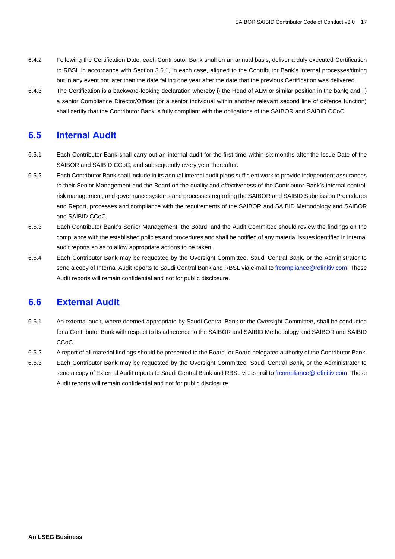- 6.4.2 Following the Certification Date, each Contributor Bank shall on an annual basis, deliver a duly executed Certification to RBSL in accordance with Section 3.6.1, in each case, aligned to the Contributor Bank's internal processes/timing but in any event not later than the date falling one year after the date that the previous Certification was delivered.
- 6.4.3 The Certification is a backward-looking declaration whereby i) the Head of ALM or similar position in the bank; and ii) a senior Compliance Director/Officer (or a senior individual within another relevant second line of defence function) shall certify that the Contributor Bank is fully compliant with the obligations of the SAIBOR and SAIBID CCoC.

# <span id="page-16-0"></span>**6.5 Internal Audit**

- 6.5.1 Each Contributor Bank shall carry out an internal audit for the first time within six months after the Issue Date of the SAIBOR and SAIBID CCoC, and subsequently every year thereafter.
- 6.5.2 Each Contributor Bank shall include in its annual internal audit plans sufficient work to provide independent assurances to their Senior Management and the Board on the quality and effectiveness of the Contributor Bank's internal control, risk management, and governance systems and processes regarding the SAIBOR and SAIBID Submission Procedures and Report, processes and compliance with the requirements of the SAIBOR and SAIBID Methodology and SAIBOR and SAIBID CCoC.
- 6.5.3 Each Contributor Bank's Senior Management, the Board, and the Audit Committee should review the findings on the compliance with the established policies and procedures and shall be notified of any material issues identified in internal audit reports so as to allow appropriate actions to be taken.
- 6.5.4 Each Contributor Bank may be requested by the Oversight Committee, Saudi Central Bank, or the Administrator to send a copy of Internal Audit reports to Saudi Central Bank and RBSL via e-mail t[o frcompliance@refinitiv.com.](mailto:frcompliance@refinitiv.com) These Audit reports will remain confidential and not for public disclosure.

# <span id="page-16-1"></span>**6.6 External Audit**

- 6.6.1 An external audit, where deemed appropriate by Saudi Central Bank or the Oversight Committee, shall be conducted for a Contributor Bank with respect to its adherence to the SAIBOR and SAIBID Methodology and SAIBOR and SAIBID CC<sub>o</sub>C.
- 6.6.2 A report of all material findings should be presented to the Board, or Board delegated authority of the Contributor Bank.
- 6.6.3 Each Contributor Bank may be requested by the Oversight Committee, Saudi Central Bank, or the Administrator to send a copy of External Audit reports to Saudi Central Bank and RBSL via e-mail t[o frcompliance@refinitiv.com.](mailto:frcompliance@refinitiv.com) These Audit reports will remain confidential and not for public disclosure.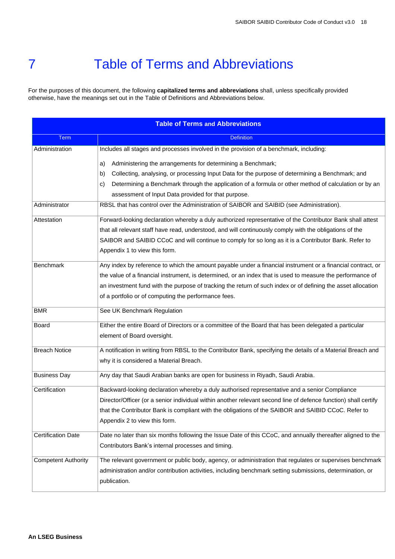# <span id="page-17-0"></span>7 Table of Terms and Abbreviations

For the purposes of this document, the following **capitalized terms and abbreviations** shall, unless specifically provided otherwise, have the meanings set out in the Table of Definitions and Abbreviations below.

| <b>Table of Terms and Abbreviations</b> |                                                                                                                                                                                                                                                                                                                                                                                                   |  |
|-----------------------------------------|---------------------------------------------------------------------------------------------------------------------------------------------------------------------------------------------------------------------------------------------------------------------------------------------------------------------------------------------------------------------------------------------------|--|
| <b>Term</b>                             | <b>Definition</b>                                                                                                                                                                                                                                                                                                                                                                                 |  |
| Administration                          | Includes all stages and processes involved in the provision of a benchmark, including:                                                                                                                                                                                                                                                                                                            |  |
|                                         | Administering the arrangements for determining a Benchmark;<br>a)<br>Collecting, analysing, or processing Input Data for the purpose of determining a Benchmark; and<br>b)<br>Determining a Benchmark through the application of a formula or other method of calculation or by an<br>C)<br>assessment of Input Data provided for that purpose.                                                   |  |
| Administrator                           | RBSL that has control over the Administration of SAIBOR and SAIBID (see Administration).                                                                                                                                                                                                                                                                                                          |  |
| Attestation                             | Forward-looking declaration whereby a duly authorized representative of the Contributor Bank shall attest<br>that all relevant staff have read, understood, and will continuously comply with the obligations of the<br>SAIBOR and SAIBID CCoC and will continue to comply for so long as it is a Contributor Bank. Refer to<br>Appendix 1 to view this form.                                     |  |
| Benchmark                               | Any index by reference to which the amount payable under a financial instrument or a financial contract, or<br>the value of a financial instrument, is determined, or an index that is used to measure the performance of<br>an investment fund with the purpose of tracking the return of such index or of defining the asset allocation<br>of a portfolio or of computing the performance fees. |  |
| <b>BMR</b>                              | See UK Benchmark Regulation                                                                                                                                                                                                                                                                                                                                                                       |  |
| Board                                   | Either the entire Board of Directors or a committee of the Board that has been delegated a particular<br>element of Board oversight.                                                                                                                                                                                                                                                              |  |
| <b>Breach Notice</b>                    | A notification in writing from RBSL to the Contributor Bank, specifying the details of a Material Breach and<br>why it is considered a Material Breach.                                                                                                                                                                                                                                           |  |
| <b>Business Day</b>                     | Any day that Saudi Arabian banks are open for business in Riyadh, Saudi Arabia.                                                                                                                                                                                                                                                                                                                   |  |
| Certification                           | Backward-looking declaration whereby a duly authorised representative and a senior Compliance<br>Director/Officer (or a senior individual within another relevant second line of defence function) shall certify<br>that the Contributor Bank is compliant with the obligations of the SAIBOR and SAIBID CCoC. Refer to<br>Appendix 2 to view this form.                                          |  |
| <b>Certification Date</b>               | Date no later than six months following the Issue Date of this CCoC, and annually thereafter aligned to the<br>Contributors Bank's internal processes and timing.                                                                                                                                                                                                                                 |  |
| <b>Competent Authority</b>              | The relevant government or public body, agency, or administration that regulates or supervises benchmark<br>administration and/or contribution activities, including benchmark setting submissions, determination, or<br>publication.                                                                                                                                                             |  |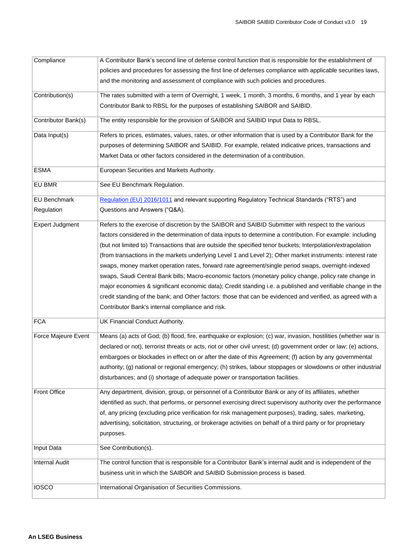| Compliance             | A Contributor Bank's second line of defense control function that is responsible for the establishment of          |
|------------------------|--------------------------------------------------------------------------------------------------------------------|
|                        | policies and procedures for assessing the first line of defenses compliance with applicable securities laws,       |
|                        | and the monitoring and assessment of compliance with such policies and procedures.                                 |
| Contribution(s)        | The rates submitted with a term of Overnight, 1 week, 1 month, 3 months, 6 months, and 1 year by each              |
|                        | Contributor Bank to RBSL for the purposes of establishing SAIBOR and SAIBID.                                       |
| Contributor Bank(s)    | The entity responsible for the provision of SAIBOR and SAIBID Input Data to RBSL.                                  |
| Data Input(s)          | Refers to prices, estimates, values, rates, or other information that is used by a Contributor Bank for the        |
|                        | purposes of determining SAIBOR and SAIBID. For example, related indicative prices, transactions and                |
|                        | Market Data or other factors considered in the determination of a contribution.                                    |
| <b>ESMA</b>            | European Securities and Markets Authority.                                                                         |
| EU BMR                 | See EU Benchmark Regulation.                                                                                       |
| <b>EU Benchmark</b>    | Regulation (EU) 2016/1011 and relevant supporting Regulatory Technical Standards ("RTS") and                       |
| Regulation             | Questions and Answers ("Q&A).                                                                                      |
| <b>Expert Judgment</b> | Refers to the exercise of discretion by the SAIBOR and SAIBID Submitter with respect to the various                |
|                        | factors considered in the determination of data inputs to determine a contribution. For example: including         |
|                        | (but not limited to) Transactions that are outside the specified tenor buckets; Interpolation/extrapolation        |
|                        | (from transactions in the markets underlying Level 1 and Level 2); Other market instruments: interest rate         |
|                        | swaps, money market operation rates, forward rate agreement/single period swaps, overnight-indexed                 |
|                        | swaps, Saudi Central Bank bills; Macro-economic factors (monetary policy change, policy rate change in             |
|                        | major economies & significant economic data); Credit standing i.e. a published and verifiable change in the        |
|                        | credit standing of the bank; and Other factors: those that can be evidenced and verified, as agreed with a         |
|                        | Contributor Bank's internal compliance and risk.                                                                   |
| <b>FCA</b>             | UK Financial Conduct Authority.                                                                                    |
| Force Majeure Event    | Means (a) acts of God; (b) flood, fire, earthquake or explosion; (c) war, invasion, hostilities (whether war is    |
|                        | declared or not), terrorist threats or acts, riot or other civil unrest; (d) government order or law; (e) actions, |
|                        | embargoes or blockades in effect on or after the date of this Agreement; (f) action by any governmental            |
|                        | authority; (g) national or regional emergency; (h) strikes, labour stoppages or slowdowns or other industrial      |
|                        | disturbances; and (i) shortage of adequate power or transportation facilities.                                     |
| <b>Front Office</b>    | Any department, division, group, or personnel of a Contributor Bank or any of its affiliates, whether              |
|                        | identified as such, that performs, or personnel exercising direct supervisory authority over the performance       |
|                        | of, any pricing (excluding price verification for risk management purposes), trading, sales, marketing,            |
|                        | advertising, solicitation, structuring, or brokerage activities on behalf of a third party or for proprietary      |
|                        | purposes.                                                                                                          |
| Input Data             | See Contribution(s).                                                                                               |
| <b>Internal Audit</b>  | The control function that is responsible for a Contributor Bank's internal audit and is independent of the         |
|                        | business unit in which the SAIBOR and SAIBID Submission process is based.                                          |
| <b>IOSCO</b>           |                                                                                                                    |
|                        | International Organisation of Securities Commissions.                                                              |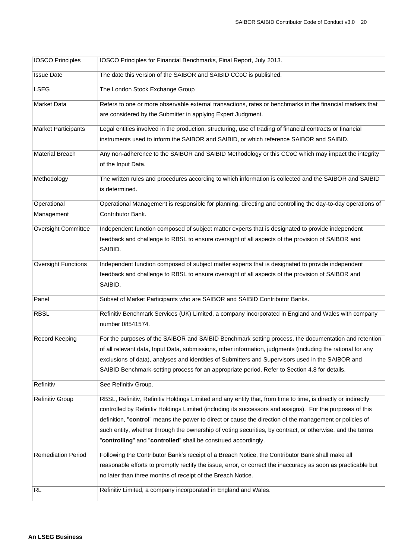| <b>IOSCO Principles</b>    | IOSCO Principles for Financial Benchmarks, Final Report, July 2013.                                                                                                          |
|----------------------------|------------------------------------------------------------------------------------------------------------------------------------------------------------------------------|
| <b>Issue Date</b>          | The date this version of the SAIBOR and SAIBID CCoC is published.                                                                                                            |
| <b>LSEG</b>                | The London Stock Exchange Group                                                                                                                                              |
| Market Data                | Refers to one or more observable external transactions, rates or benchmarks in the financial markets that                                                                    |
|                            | are considered by the Submitter in applying Expert Judgment.                                                                                                                 |
| <b>Market Participants</b> | Legal entities involved in the production, structuring, use of trading of financial contracts or financial                                                                   |
|                            | instruments used to inform the SAIBOR and SAIBID, or which reference SAIBOR and SAIBID.                                                                                      |
| <b>Material Breach</b>     | Any non-adherence to the SAIBOR and SAIBID Methodology or this CCoC which may impact the integrity                                                                           |
|                            | of the Input Data.                                                                                                                                                           |
| Methodology                | The written rules and procedures according to which information is collected and the SAIBOR and SAIBID                                                                       |
|                            | is determined.                                                                                                                                                               |
| Operational                | Operational Management is responsible for planning, directing and controlling the day-to-day operations of                                                                   |
| Management                 | Contributor Bank.                                                                                                                                                            |
| Oversight Committee        | Independent function composed of subject matter experts that is designated to provide independent                                                                            |
|                            | feedback and challenge to RBSL to ensure oversight of all aspects of the provision of SAIBOR and                                                                             |
|                            | SAIBID.                                                                                                                                                                      |
| <b>Oversight Functions</b> | Independent function composed of subject matter experts that is designated to provide independent                                                                            |
|                            | feedback and challenge to RBSL to ensure oversight of all aspects of the provision of SAIBOR and<br>SAIBID.                                                                  |
|                            |                                                                                                                                                                              |
| Panel                      | Subset of Market Participants who are SAIBOR and SAIBID Contributor Banks.                                                                                                   |
| <b>RBSL</b>                | Refinitiv Benchmark Services (UK) Limited, a company incorporated in England and Wales with company                                                                          |
|                            | number 08541574.                                                                                                                                                             |
| Record Keeping             | For the purposes of the SAIBOR and SAIBID Benchmark setting process, the documentation and retention                                                                         |
|                            | of all relevant data, Input Data, submissions, other information, judgments (including the rational for any                                                                  |
|                            | exclusions of data), analyses and identities of Submitters and Supervisors used in the SAIBOR and                                                                            |
|                            | SAIBID Benchmark-setting process for an appropriate period. Refer to Section 4.8 for details.                                                                                |
| Refinitiv                  | See Refinitiv Group.                                                                                                                                                         |
| Refinitiv Group            | RBSL, Refinitiv, Refinitiv Holdings Limited and any entity that, from time to time, is directly or indirectly                                                                |
|                            | controlled by Refinitiv Holdings Limited (including its successors and assigns). For the purposes of this                                                                    |
|                            | definition, "control" means the power to direct or cause the direction of the management or policies of                                                                      |
|                            | such entity, whether through the ownership of voting securities, by contract, or otherwise, and the terms                                                                    |
|                            | "controlling" and "controlled" shall be construed accordingly.                                                                                                               |
| <b>Remediation Period</b>  | Following the Contributor Bank's receipt of a Breach Notice, the Contributor Bank shall make all                                                                             |
|                            | reasonable efforts to promptly rectify the issue, error, or correct the inaccuracy as soon as practicable but<br>no later than three months of receipt of the Breach Notice. |
|                            |                                                                                                                                                                              |
| <b>RL</b>                  | Refinitiv Limited, a company incorporated in England and Wales.                                                                                                              |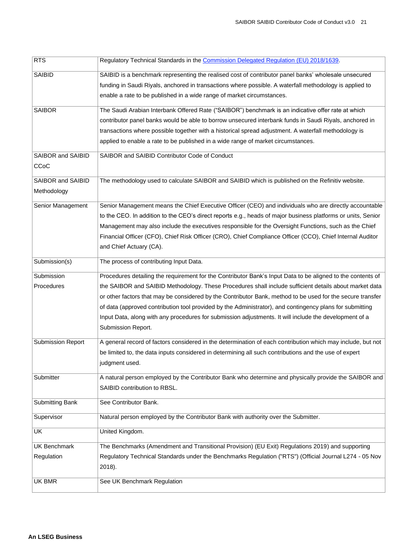| <b>RTS</b>               | Regulatory Technical Standards in the Commission Delegated Regulation (EU) 2018/1639.                        |  |
|--------------------------|--------------------------------------------------------------------------------------------------------------|--|
| SAIBID                   | SAIBID is a benchmark representing the realised cost of contributor panel banks' wholesale unsecured         |  |
|                          | funding in Saudi Riyals, anchored in transactions where possible. A waterfall methodology is applied to      |  |
|                          | enable a rate to be published in a wide range of market circumstances.                                       |  |
| <b>SAIBOR</b>            | The Saudi Arabian Interbank Offered Rate ("SAIBOR") benchmark is an indicative offer rate at which           |  |
|                          | contributor panel banks would be able to borrow unsecured interbank funds in Saudi Riyals, anchored in       |  |
|                          | transactions where possible together with a historical spread adjustment. A waterfall methodology is         |  |
|                          | applied to enable a rate to be published in a wide range of market circumstances.                            |  |
| SAIBOR and SAIBID        | SAIBOR and SAIBID Contributor Code of Conduct                                                                |  |
| CCoC                     |                                                                                                              |  |
| SAIBOR and SAIBID        | The methodology used to calculate SAIBOR and SAIBID which is published on the Refinitiv website.             |  |
| Methodology              |                                                                                                              |  |
| Senior Management        | Senior Management means the Chief Executive Officer (CEO) and individuals who are directly accountable       |  |
|                          | to the CEO. In addition to the CEO's direct reports e.g., heads of major business platforms or units, Senior |  |
|                          | Management may also include the executives responsible for the Oversight Functions, such as the Chief        |  |
|                          | Financial Officer (CFO), Chief Risk Officer (CRO), Chief Compliance Officer (CCO), Chief Internal Auditor    |  |
|                          | and Chief Actuary (CA).                                                                                      |  |
| Submission(s)            | The process of contributing Input Data.                                                                      |  |
| Submission               | Procedures detailing the requirement for the Contributor Bank's Input Data to be aligned to the contents of  |  |
| Procedures               | the SAIBOR and SAIBID Methodology. These Procedures shall include sufficient details about market data       |  |
|                          | or other factors that may be considered by the Contributor Bank, method to be used for the secure transfer   |  |
|                          | of data (approved contribution tool provided by the Administrator), and contingency plans for submitting     |  |
|                          | Input Data, along with any procedures for submission adjustments. It will include the development of a       |  |
|                          | Submission Report.                                                                                           |  |
| <b>Submission Report</b> | A general record of factors considered in the determination of each contribution which may include, but not  |  |
|                          | be limited to, the data inputs considered in determining all such contributions and the use of expert        |  |
|                          | judgment used.                                                                                               |  |
| Submitter                | A natural person employed by the Contributor Bank who determine and physically provide the SAIBOR and        |  |
|                          | SAIBID contribution to RBSL.                                                                                 |  |
| <b>Submitting Bank</b>   | See Contributor Bank.                                                                                        |  |
| Supervisor               | Natural person employed by the Contributor Bank with authority over the Submitter.                           |  |
| <b>UK</b>                | United Kingdom.                                                                                              |  |
| <b>UK Benchmark</b>      | The Benchmarks (Amendment and Transitional Provision) (EU Exit) Regulations 2019) and supporting             |  |
| Regulation               | Regulatory Technical Standards under the Benchmarks Regulation ("RTS") (Official Journal L274 - 05 Nov       |  |
|                          | 2018).                                                                                                       |  |
| UK BMR                   | See UK Benchmark Regulation                                                                                  |  |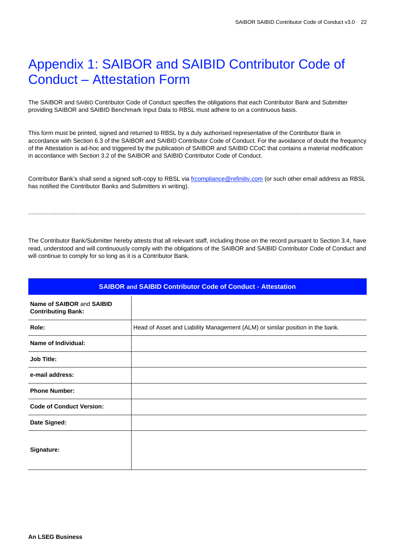# <span id="page-21-0"></span>Appendix 1: SAIBOR and SAIBID Contributor Code of Conduct – Attestation Form

The SAIBOR and SAIBID Contributor Code of Conduct specifies the obligations that each Contributor Bank and Submitter providing SAIBOR and SAIBID Benchmark Input Data to RBSL must adhere to on a continuous basis.

This form must be printed, signed and returned to RBSL by a duly authorised representative of the Contributor Bank in accordance with Section 6.3 of the SAIBOR and SAIBID Contributor Code of Conduct. For the avoidance of doubt the frequency of the Attestation is ad-hoc and triggered by the publication of SAIBOR and SAIBID CCoC that contains a material modification in accordance with Section 3.2 of the SAIBOR and SAIBID Contributor Code of Conduct.

Contributor Bank's shall send a signed soft-copy to RBSL vi[a frcompliance@refinitiv.com](mailto:frcompliance@refinitiv.com) (or such other email address as RBSL has notified the Contributor Banks and Submitters in writing).

...........................................................................................................................................................................................................

The Contributor Bank/Submitter hereby attests that all relevant staff, including those on the record pursuant to Section 3.4, have read, understood and will continuously comply with the obligations of the SAIBOR and SAIBID Contributor Code of Conduct and will continue to comply for so long as it is a Contributor Bank.

|                                                        | <b>SAIBOR and SAIBID Contributor Code of Conduct - Attestation</b>            |  |  |
|--------------------------------------------------------|-------------------------------------------------------------------------------|--|--|
| Name of SAIBOR and SAIBID<br><b>Contributing Bank:</b> |                                                                               |  |  |
| Role:                                                  | Head of Asset and Liability Management (ALM) or similar position in the bank. |  |  |
| Name of Individual:                                    |                                                                               |  |  |
| <b>Job Title:</b>                                      |                                                                               |  |  |
| e-mail address:                                        |                                                                               |  |  |
| <b>Phone Number:</b>                                   |                                                                               |  |  |
| <b>Code of Conduct Version:</b>                        |                                                                               |  |  |
| Date Signed:                                           |                                                                               |  |  |
| Signature:                                             |                                                                               |  |  |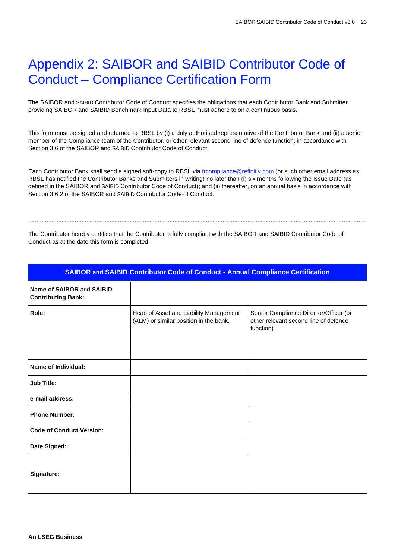# <span id="page-22-0"></span>Appendix 2: SAIBOR and SAIBID Contributor Code of Conduct – Compliance Certification Form

The SAIBOR and SAIBID Contributor Code of Conduct specifies the obligations that each Contributor Bank and Submitter providing SAIBOR and SAIBID Benchmark Input Data to RBSL must adhere to on a continuous basis.

This form must be signed and returned to RBSL by (i) a duly authorised representative of the Contributor Bank and (ii) a senior member of the Compliance team of the Contributor, or other relevant second line of defence function, in accordance with Section 3.6 of the SAIBOR and SAIBID Contributor Code of Conduct.

Each Contributor Bank shall send a signed soft-copy to RBSL via [frcompliance@refinitiv.com](mailto:frcompliance@refinitiv.com) (or such other email address as RBSL has notified the Contributor Banks and Submitters in writing) no later than (i) six months following the Issue Date (as defined in the SAIBOR and SAIBID Contributor Code of Conduct); and (ii) thereafter, on an annual basis in accordance with Section 3.6.2 of the SAIBOR and SAIBID Contributor Code of Conduct.

...........................................................................................................................................................................................................

The Contributor hereby certifies that the Contributor is fully compliant with the SAIBOR and SAIBID Contributor Code of Conduct as at the date this form is completed.

|                                                        | <b>SAIBOR and SAIBID Contributor Code of Conduct - Annual Compliance Certification</b> |                                                                                              |  |
|--------------------------------------------------------|----------------------------------------------------------------------------------------|----------------------------------------------------------------------------------------------|--|
| Name of SAIBOR and SAIBID<br><b>Contributing Bank:</b> |                                                                                        |                                                                                              |  |
| Role:                                                  | Head of Asset and Liability Management<br>(ALM) or similar position in the bank.       | Senior Compliance Director/Officer (or<br>other relevant second line of defence<br>function) |  |
| <b>Name of Individual:</b>                             |                                                                                        |                                                                                              |  |
| <b>Job Title:</b>                                      |                                                                                        |                                                                                              |  |
| e-mail address:                                        |                                                                                        |                                                                                              |  |
| <b>Phone Number:</b>                                   |                                                                                        |                                                                                              |  |
| <b>Code of Conduct Version:</b>                        |                                                                                        |                                                                                              |  |
| Date Signed:                                           |                                                                                        |                                                                                              |  |
| Signature:                                             |                                                                                        |                                                                                              |  |